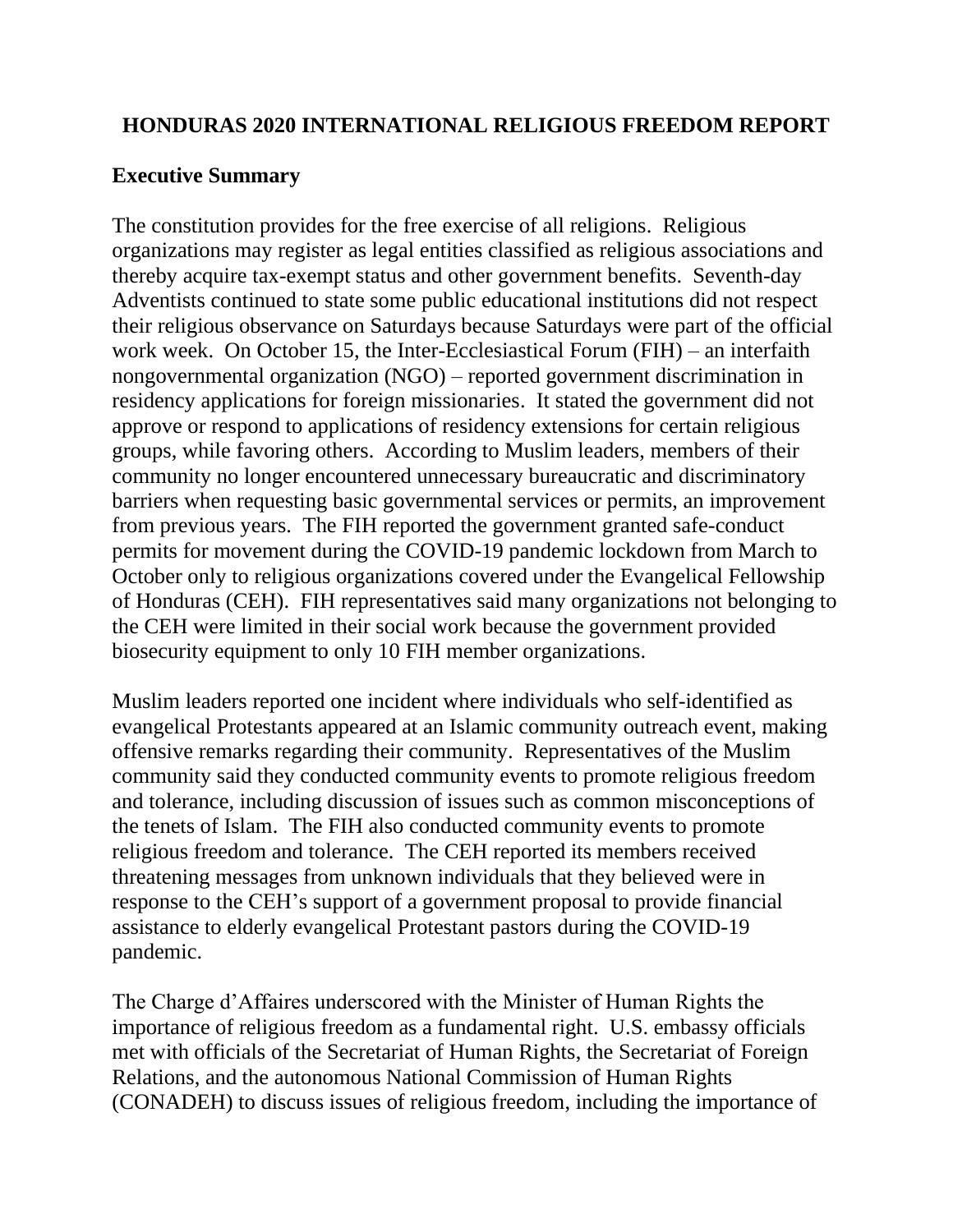### **HONDURAS 2020 INTERNATIONAL RELIGIOUS FREEDOM REPORT**

### **Executive Summary**

The constitution provides for the free exercise of all religions. Religious organizations may register as legal entities classified as religious associations and thereby acquire tax-exempt status and other government benefits. Seventh-day Adventists continued to state some public educational institutions did not respect their religious observance on Saturdays because Saturdays were part of the official work week. On October 15, the Inter-Ecclesiastical Forum (FIH) – an interfaith nongovernmental organization (NGO) – reported government discrimination in residency applications for foreign missionaries. It stated the government did not approve or respond to applications of residency extensions for certain religious groups, while favoring others. According to Muslim leaders, members of their community no longer encountered unnecessary bureaucratic and discriminatory barriers when requesting basic governmental services or permits, an improvement from previous years. The FIH reported the government granted safe-conduct permits for movement during the COVID-19 pandemic lockdown from March to October only to religious organizations covered under the Evangelical Fellowship of Honduras (CEH). FIH representatives said many organizations not belonging to the CEH were limited in their social work because the government provided biosecurity equipment to only 10 FIH member organizations.

Muslim leaders reported one incident where individuals who self-identified as evangelical Protestants appeared at an Islamic community outreach event, making offensive remarks regarding their community. Representatives of the Muslim community said they conducted community events to promote religious freedom and tolerance, including discussion of issues such as common misconceptions of the tenets of Islam. The FIH also conducted community events to promote religious freedom and tolerance. The CEH reported its members received threatening messages from unknown individuals that they believed were in response to the CEH's support of a government proposal to provide financial assistance to elderly evangelical Protestant pastors during the COVID-19 pandemic.

The Charge d'Affaires underscored with the Minister of Human Rights the importance of religious freedom as a fundamental right. U.S. embassy officials met with officials of the Secretariat of Human Rights, the Secretariat of Foreign Relations, and the autonomous National Commission of Human Rights (CONADEH) to discuss issues of religious freedom, including the importance of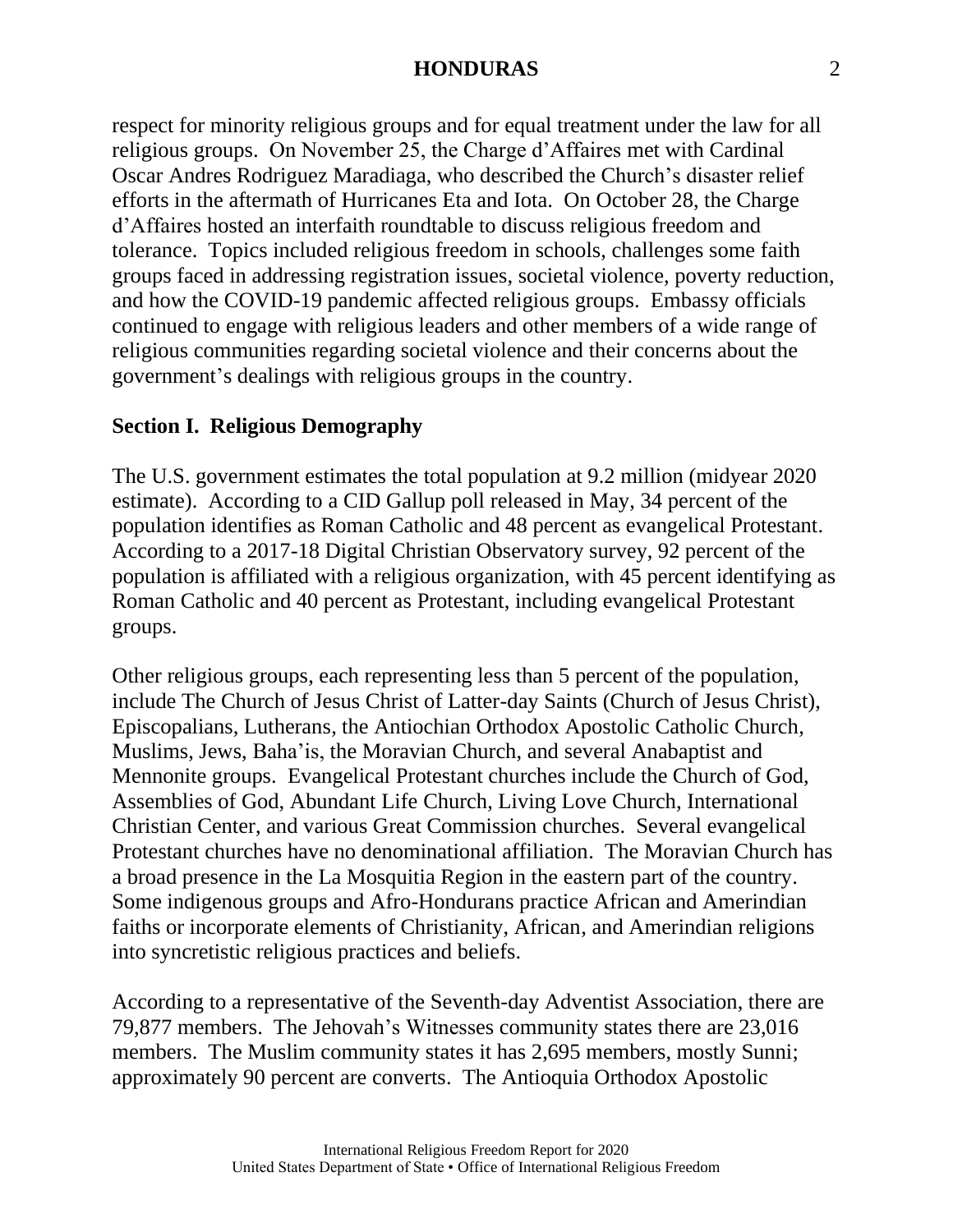respect for minority religious groups and for equal treatment under the law for all religious groups. On November 25, the Charge d'Affaires met with Cardinal Oscar Andres Rodriguez Maradiaga, who described the Church's disaster relief efforts in the aftermath of Hurricanes Eta and Iota. On October 28, the Charge d'Affaires hosted an interfaith roundtable to discuss religious freedom and tolerance. Topics included religious freedom in schools, challenges some faith groups faced in addressing registration issues, societal violence, poverty reduction, and how the COVID-19 pandemic affected religious groups. Embassy officials continued to engage with religious leaders and other members of a wide range of religious communities regarding societal violence and their concerns about the government's dealings with religious groups in the country.

### **Section I. Religious Demography**

The U.S. government estimates the total population at 9.2 million (midyear 2020 estimate). According to a CID Gallup poll released in May, 34 percent of the population identifies as Roman Catholic and 48 percent as evangelical Protestant. According to a 2017-18 Digital Christian Observatory survey, 92 percent of the population is affiliated with a religious organization, with 45 percent identifying as Roman Catholic and 40 percent as Protestant, including evangelical Protestant groups.

Other religious groups, each representing less than 5 percent of the population, include The Church of Jesus Christ of Latter-day Saints (Church of Jesus Christ), Episcopalians, Lutherans, the Antiochian Orthodox Apostolic Catholic Church, Muslims, Jews, Baha'is, the Moravian Church, and several Anabaptist and Mennonite groups. Evangelical Protestant churches include the Church of God, Assemblies of God, Abundant Life Church, Living Love Church, International Christian Center, and various Great Commission churches. Several evangelical Protestant churches have no denominational affiliation. The Moravian Church has a broad presence in the La Mosquitia Region in the eastern part of the country. Some indigenous groups and Afro-Hondurans practice African and Amerindian faiths or incorporate elements of Christianity, African, and Amerindian religions into syncretistic religious practices and beliefs.

According to a representative of the Seventh-day Adventist Association, there are 79,877 members. The Jehovah's Witnesses community states there are 23,016 members. The Muslim community states it has 2,695 members, mostly Sunni; approximately 90 percent are converts. The Antioquia Orthodox Apostolic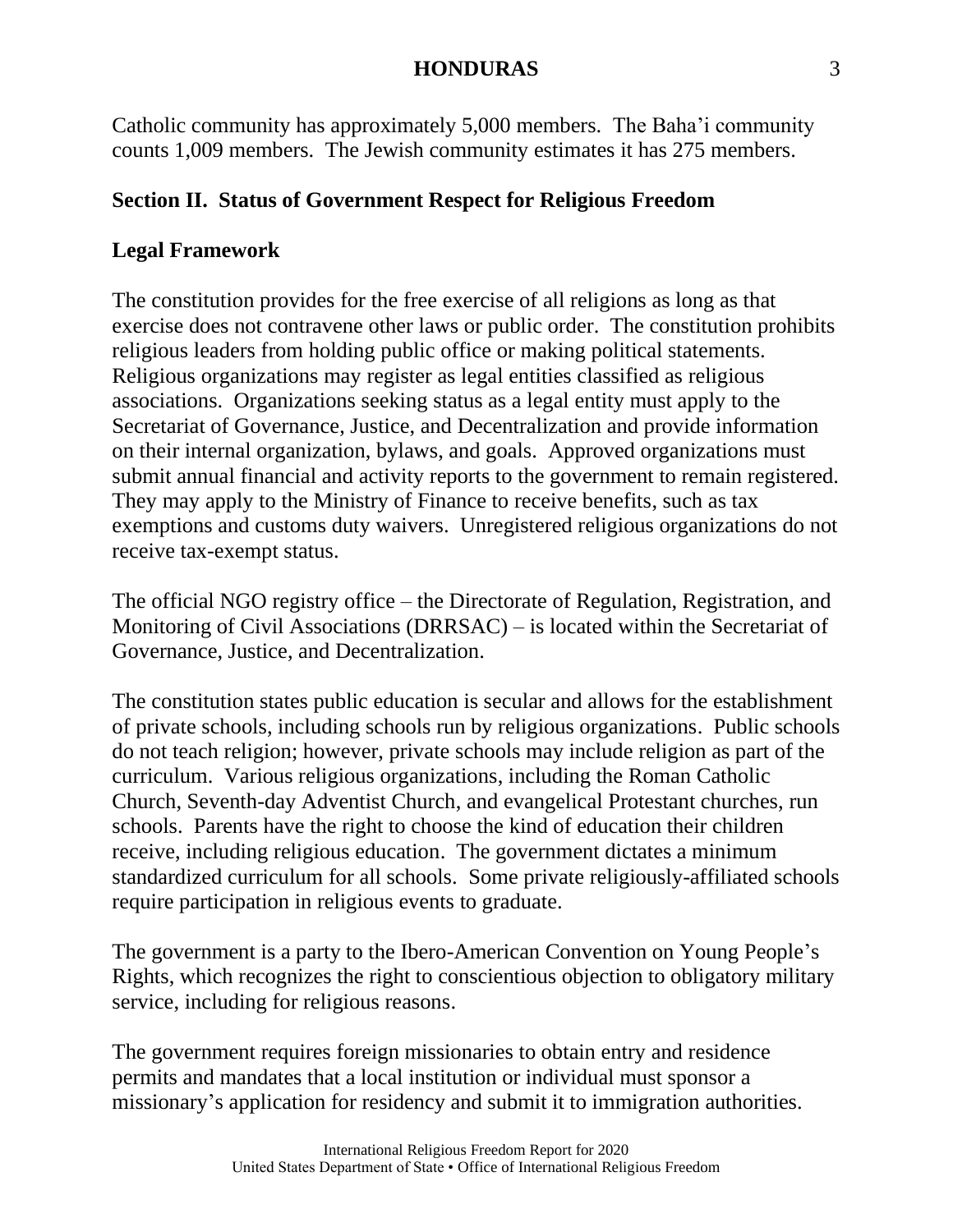Catholic community has approximately 5,000 members. The Baha'i community counts 1,009 members. The Jewish community estimates it has 275 members.

## **Section II. Status of Government Respect for Religious Freedom**

# **Legal Framework**

The constitution provides for the free exercise of all religions as long as that exercise does not contravene other laws or public order. The constitution prohibits religious leaders from holding public office or making political statements. Religious organizations may register as legal entities classified as religious associations. Organizations seeking status as a legal entity must apply to the Secretariat of Governance, Justice, and Decentralization and provide information on their internal organization, bylaws, and goals. Approved organizations must submit annual financial and activity reports to the government to remain registered. They may apply to the Ministry of Finance to receive benefits, such as tax exemptions and customs duty waivers. Unregistered religious organizations do not receive tax-exempt status.

The official NGO registry office – the Directorate of Regulation, Registration, and Monitoring of Civil Associations (DRRSAC) – is located within the Secretariat of Governance, Justice, and Decentralization.

The constitution states public education is secular and allows for the establishment of private schools, including schools run by religious organizations. Public schools do not teach religion; however, private schools may include religion as part of the curriculum. Various religious organizations, including the Roman Catholic Church, Seventh-day Adventist Church, and evangelical Protestant churches, run schools. Parents have the right to choose the kind of education their children receive, including religious education. The government dictates a minimum standardized curriculum for all schools. Some private religiously-affiliated schools require participation in religious events to graduate.

The government is a party to the Ibero-American Convention on Young People's Rights, which recognizes the right to conscientious objection to obligatory military service, including for religious reasons.

The government requires foreign missionaries to obtain entry and residence permits and mandates that a local institution or individual must sponsor a missionary's application for residency and submit it to immigration authorities.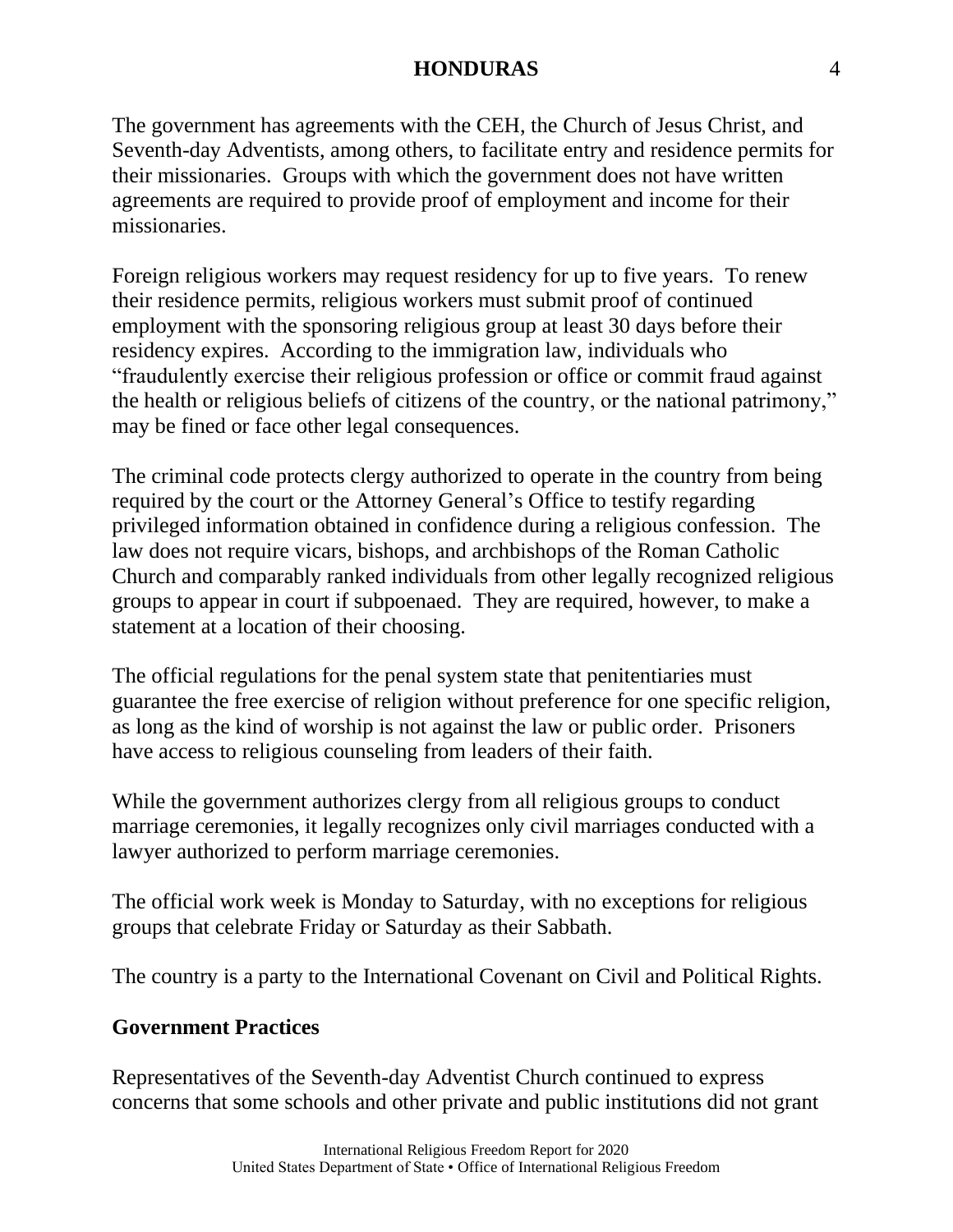The government has agreements with the CEH, the Church of Jesus Christ, and Seventh-day Adventists, among others, to facilitate entry and residence permits for their missionaries. Groups with which the government does not have written agreements are required to provide proof of employment and income for their missionaries.

Foreign religious workers may request residency for up to five years. To renew their residence permits, religious workers must submit proof of continued employment with the sponsoring religious group at least 30 days before their residency expires. According to the immigration law, individuals who "fraudulently exercise their religious profession or office or commit fraud against the health or religious beliefs of citizens of the country, or the national patrimony," may be fined or face other legal consequences.

The criminal code protects clergy authorized to operate in the country from being required by the court or the Attorney General's Office to testify regarding privileged information obtained in confidence during a religious confession. The law does not require vicars, bishops, and archbishops of the Roman Catholic Church and comparably ranked individuals from other legally recognized religious groups to appear in court if subpoenaed. They are required, however, to make a statement at a location of their choosing.

The official regulations for the penal system state that penitentiaries must guarantee the free exercise of religion without preference for one specific religion, as long as the kind of worship is not against the law or public order. Prisoners have access to religious counseling from leaders of their faith.

While the government authorizes clergy from all religious groups to conduct marriage ceremonies, it legally recognizes only civil marriages conducted with a lawyer authorized to perform marriage ceremonies.

The official work week is Monday to Saturday, with no exceptions for religious groups that celebrate Friday or Saturday as their Sabbath.

The country is a party to the International Covenant on Civil and Political Rights.

## **Government Practices**

Representatives of the Seventh-day Adventist Church continued to express concerns that some schools and other private and public institutions did not grant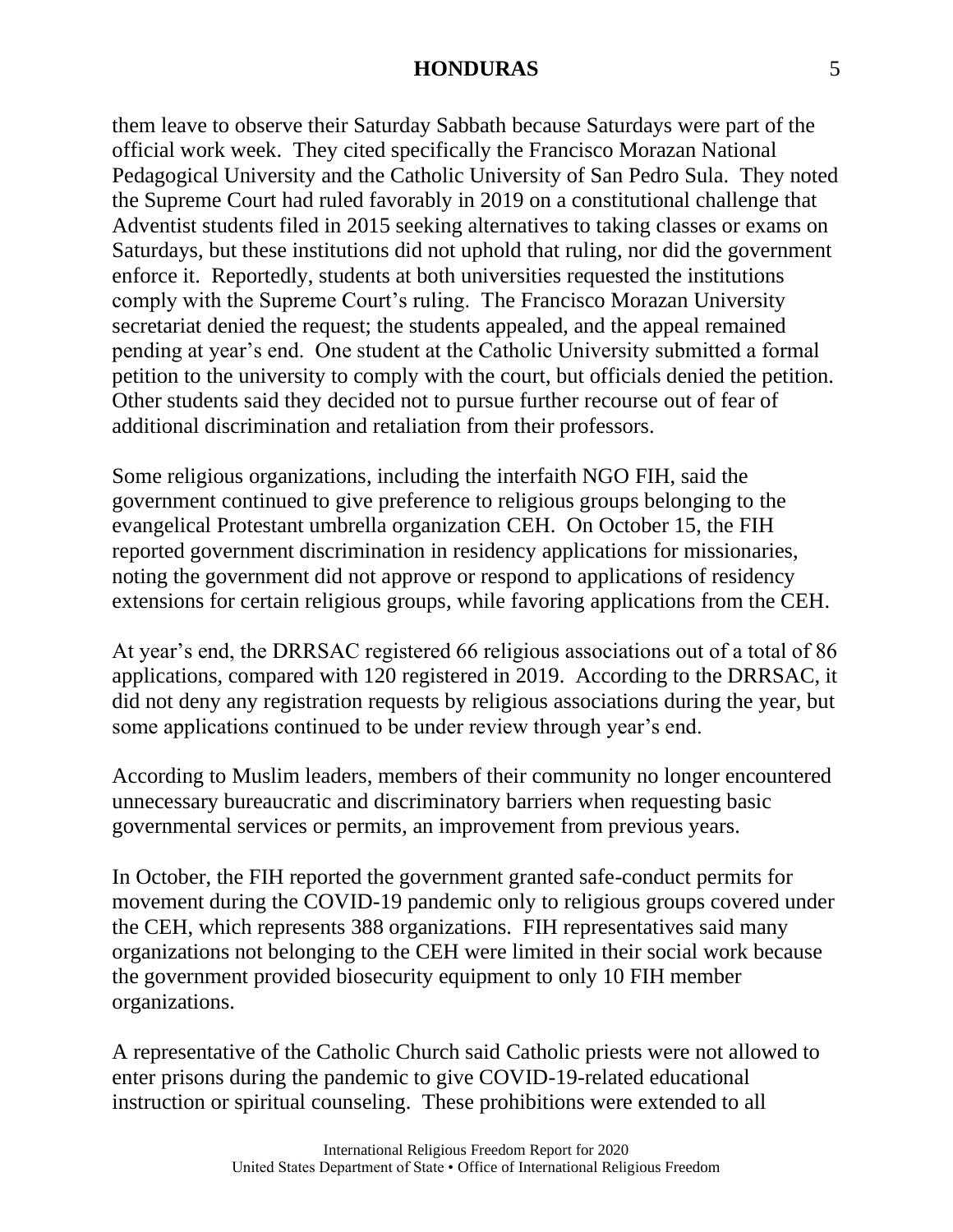them leave to observe their Saturday Sabbath because Saturdays were part of the official work week. They cited specifically the Francisco Morazan National Pedagogical University and the Catholic University of San Pedro Sula. They noted the Supreme Court had ruled favorably in 2019 on a constitutional challenge that Adventist students filed in 2015 seeking alternatives to taking classes or exams on Saturdays, but these institutions did not uphold that ruling, nor did the government enforce it. Reportedly, students at both universities requested the institutions comply with the Supreme Court's ruling. The Francisco Morazan University secretariat denied the request; the students appealed, and the appeal remained pending at year's end. One student at the Catholic University submitted a formal petition to the university to comply with the court, but officials denied the petition. Other students said they decided not to pursue further recourse out of fear of additional discrimination and retaliation from their professors.

Some religious organizations, including the interfaith NGO FIH, said the government continued to give preference to religious groups belonging to the evangelical Protestant umbrella organization CEH. On October 15, the FIH reported government discrimination in residency applications for missionaries, noting the government did not approve or respond to applications of residency extensions for certain religious groups, while favoring applications from the CEH.

At year's end, the DRRSAC registered 66 religious associations out of a total of 86 applications, compared with 120 registered in 2019. According to the DRRSAC, it did not deny any registration requests by religious associations during the year, but some applications continued to be under review through year's end.

According to Muslim leaders, members of their community no longer encountered unnecessary bureaucratic and discriminatory barriers when requesting basic governmental services or permits, an improvement from previous years.

In October, the FIH reported the government granted safe-conduct permits for movement during the COVID-19 pandemic only to religious groups covered under the CEH, which represents 388 organizations. FIH representatives said many organizations not belonging to the CEH were limited in their social work because the government provided biosecurity equipment to only 10 FIH member organizations.

A representative of the Catholic Church said Catholic priests were not allowed to enter prisons during the pandemic to give COVID-19-related educational instruction or spiritual counseling. These prohibitions were extended to all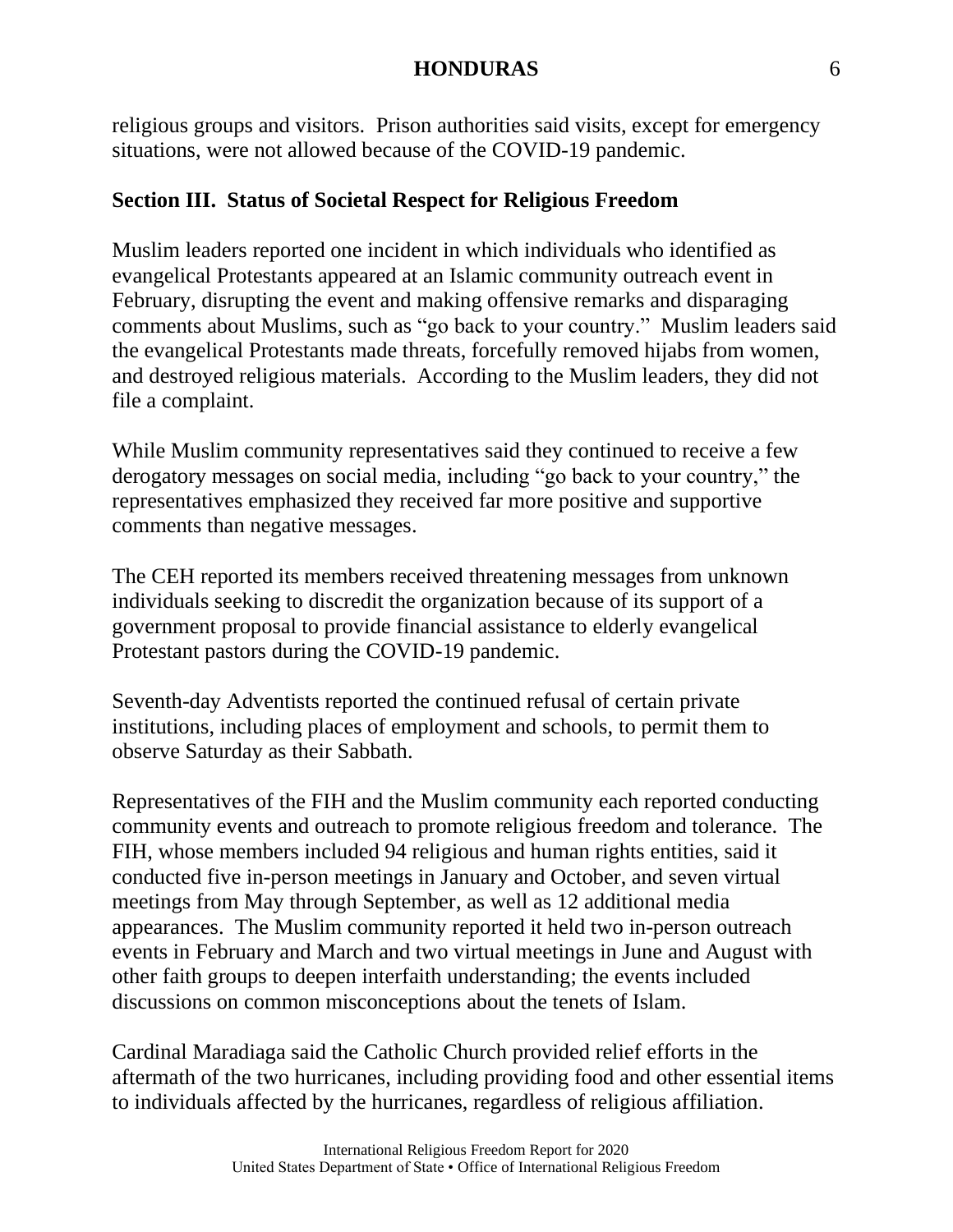religious groups and visitors. Prison authorities said visits, except for emergency situations, were not allowed because of the COVID-19 pandemic.

## **Section III. Status of Societal Respect for Religious Freedom**

Muslim leaders reported one incident in which individuals who identified as evangelical Protestants appeared at an Islamic community outreach event in February, disrupting the event and making offensive remarks and disparaging comments about Muslims, such as "go back to your country." Muslim leaders said the evangelical Protestants made threats, forcefully removed hijabs from women, and destroyed religious materials. According to the Muslim leaders, they did not file a complaint.

While Muslim community representatives said they continued to receive a few derogatory messages on social media, including "go back to your country," the representatives emphasized they received far more positive and supportive comments than negative messages.

The CEH reported its members received threatening messages from unknown individuals seeking to discredit the organization because of its support of a government proposal to provide financial assistance to elderly evangelical Protestant pastors during the COVID-19 pandemic.

Seventh-day Adventists reported the continued refusal of certain private institutions, including places of employment and schools, to permit them to observe Saturday as their Sabbath.

Representatives of the FIH and the Muslim community each reported conducting community events and outreach to promote religious freedom and tolerance. The FIH, whose members included 94 religious and human rights entities, said it conducted five in-person meetings in January and October, and seven virtual meetings from May through September, as well as 12 additional media appearances. The Muslim community reported it held two in-person outreach events in February and March and two virtual meetings in June and August with other faith groups to deepen interfaith understanding; the events included discussions on common misconceptions about the tenets of Islam.

Cardinal Maradiaga said the Catholic Church provided relief efforts in the aftermath of the two hurricanes, including providing food and other essential items to individuals affected by the hurricanes, regardless of religious affiliation.